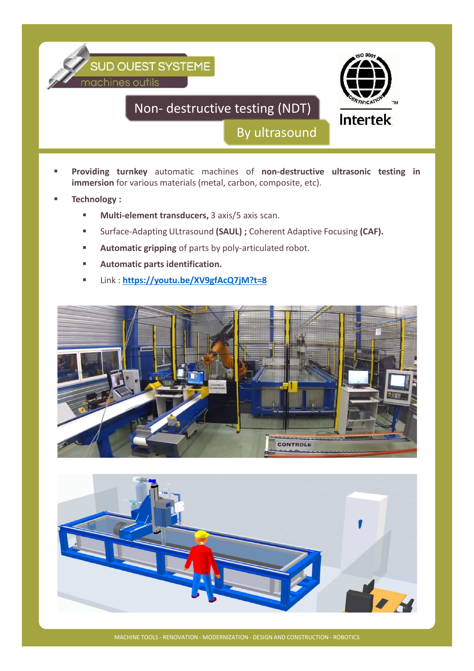

- **Providing turnkey** automatic machines of **non-destructive ultrasonic testing in immersion** for various materials (metal, carbon, composite, etc).
- **Technology :**
	- **Multi-element transducers,** 3 axis/5 axis scan.
	- Surface-Adapting ULtrasound (SAUL) ; Coherent Adaptive Focusing (CAF).
	- **Automatic gripping** of parts by poly-articulated robot.
	- **Automatic parts identification.**
	- Link : **https://youtu.be/XV9gfAcQ7jM?t=8**





MACHINE TOOLS - RENOVATION - MODERNIZATION - DESIGN AND CONSTRUCTION - ROBOTICS